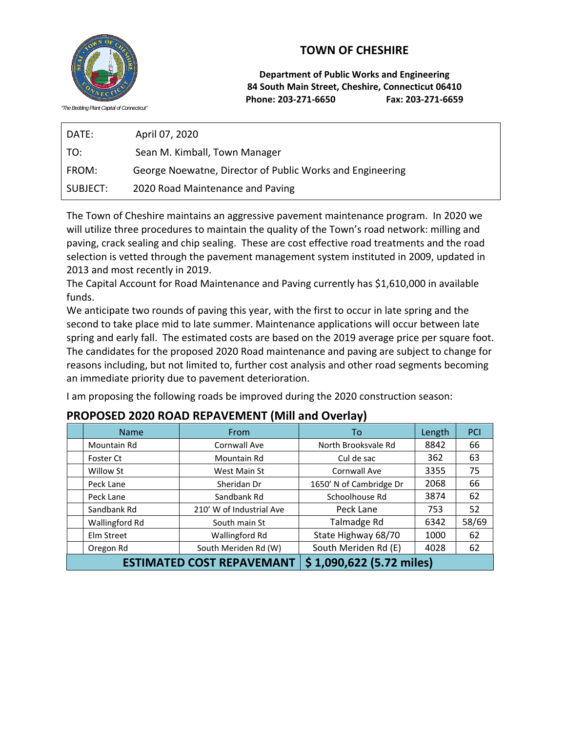## **TOWN OF CHESHIRE**



DATE: April 07, 2020 TO: Sean M. Kimball, Town Manager FROM: George Noewatne, Director of Public Works and Engineering SUBJECT: 2020 Road Maintenance and Paving

The Town of Cheshire maintains an aggressive pavement maintenance program. In 2020 we will utilize three procedures to maintain the quality of the Town's road network: milling and paving, crack sealing and chip sealing. These are cost effective road treatments and the road selection is vetted through the pavement management system instituted in 2009, updated in 2013 and most recently in 2019.

The Capital Account for Road Maintenance and Paving currently has \$1,610,000 in available funds.

We anticipate two rounds of paving this year, with the first to occur in late spring and the second to take place mid to late summer. Maintenance applications will occur between late spring and early fall. The estimated costs are based on the 2019 average price per square foot. The candidates for the proposed 2020 Road maintenance and paving are subject to change for reasons including, but not limited to, further cost analysis and other road segments becoming an immediate priority due to pavement deterioration.

I am proposing the following roads be improved during the 2020 construction season:

| <b>Name</b>                      | From                     | To                       | Length | PCI   |
|----------------------------------|--------------------------|--------------------------|--------|-------|
| Mountain Rd                      | Cornwall Ave             | North Brooksvale Rd      | 8842   | 66    |
| Foster Ct                        | Mountain Rd              | Cul de sac               | 362    | 63    |
| Willow St                        | West Main St             | Cornwall Ave             | 3355   | 75    |
| Peck Lane                        | Sheridan Dr              | 1650' N of Cambridge Dr  | 2068   | 66    |
| Peck Lane                        | Sandbank Rd              | Schoolhouse Rd           | 3874   | 62    |
| Sandbank Rd                      | 210' W of Industrial Ave | Peck Lane                | 753    | 52    |
| Wallingford Rd                   | South main St            | Talmadge Rd              | 6342   | 58/69 |
| Elm Street                       | Wallingford Rd           | State Highway 68/70      | 1000   | 62    |
| Oregon Rd                        | South Meriden Rd (W)     | South Meriden Rd (E)     | 4028   | 62    |
| <b>ESTIMATED COST REPAVEMANT</b> |                          | \$1,090,622 (5.72 miles) |        |       |

## **PROPOSED 2020 ROAD REPAVEMENT (Mill and Overlay)**



*"The Bedding Plant Capital of Connecticut"*